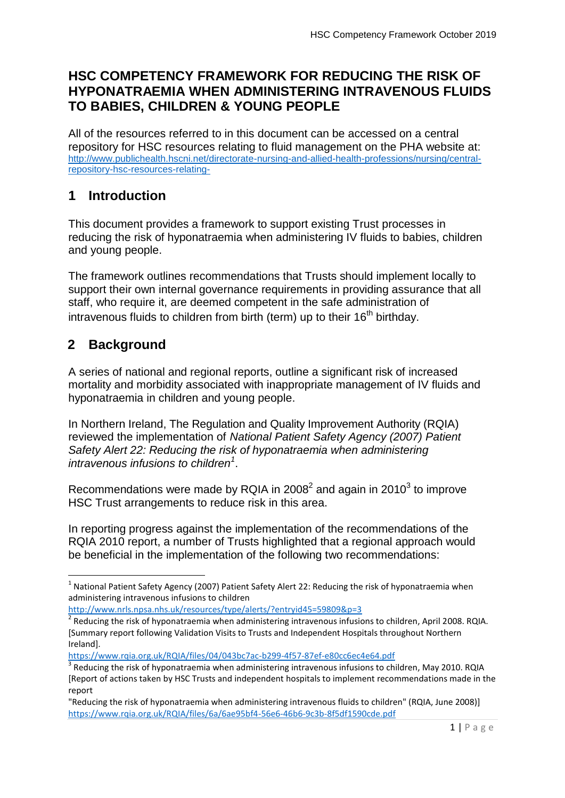### **HSC COMPETENCY FRAMEWORK FOR REDUCING THE RISK OF HYPONATRAEMIA WHEN ADMINISTERING INTRAVENOUS FLUIDS TO BABIES, CHILDREN & YOUNG PEOPLE**

All of the resources referred to in this document can be accessed on a central repository for HSC resources relating to fluid management on the PHA website at: [http://www.publichealth.hscni.net/directorate-nursing-and-allied-health-professions/nursing/central](http://www.publichealth.hscni.net/directorate-nursing-and-allied-health-professions/nursing/central-repository-hsc-resources-relating-)[repository-hsc-resources-relating-](http://www.publichealth.hscni.net/directorate-nursing-and-allied-health-professions/nursing/central-repository-hsc-resources-relating-)

# **1 Introduction**

This document provides a framework to support existing Trust processes in reducing the risk of hyponatraemia when administering IV fluids to babies, children and young people.

The framework outlines recommendations that Trusts should implement locally to support their own internal governance requirements in providing assurance that all staff, who require it, are deemed competent in the safe administration of intravenous fluids to children from birth (term) up to their  $16<sup>th</sup>$  birthday.

# **2 Background**

-

A series of national and regional reports, outline a significant risk of increased mortality and morbidity associated with inappropriate management of IV fluids and hyponatraemia in children and young people.

In Northern Ireland, The Regulation and Quality Improvement Authority (RQIA) reviewed the implementation of *National Patient Safety Agency (2007) Patient Safety Alert 22: Reducing the risk of hyponatraemia when administering intravenous infusions to children 1* .

<span id="page-0-2"></span><span id="page-0-1"></span><span id="page-0-0"></span>Recommendations were made by RQIA in 2008 $^2$  and again in 2010 $^3$  to improve HSC Trust arrangements to reduce risk in this area.

In reporting progress against the implementation of the recommendations of the RQIA 2010 report, a number of Trusts highlighted that a regional approach would be beneficial in the implementation of the following two recommendations:

<http://www.nrls.npsa.nhs.uk/resources/type/alerts/?entryid45=59809&p=3>

 $^1$  National Patient Safety Agency (2007) Patient Safety Alert 22: Reducing the risk of hyponatraemia when administering intravenous infusions to children

 $2$  Reducing the risk of hyponatraemia when administering intravenous infusions to children, April 2008. RQIA. [Summary report following Validation Visits to Trusts and Independent Hospitals throughout Northern Ireland].

<https://www.rqia.org.uk/RQIA/files/04/043bc7ac-b299-4f57-87ef-e80cc6ec4e64.pdf>

<sup>&</sup>lt;sup>3</sup> Reducing the risk of hyponatraemia when administering intravenous infusions to children, May 2010. RQIA [Report of actions taken by HSC Trusts and independent hospitals to implement recommendations made in the report

<sup>&</sup>quot;Reducing the risk of hyponatraemia when administering intravenous fluids to children" (RQIA, June 2008)] <https://www.rqia.org.uk/RQIA/files/6a/6ae95bf4-56e6-46b6-9c3b-8f5df1590cde.pdf>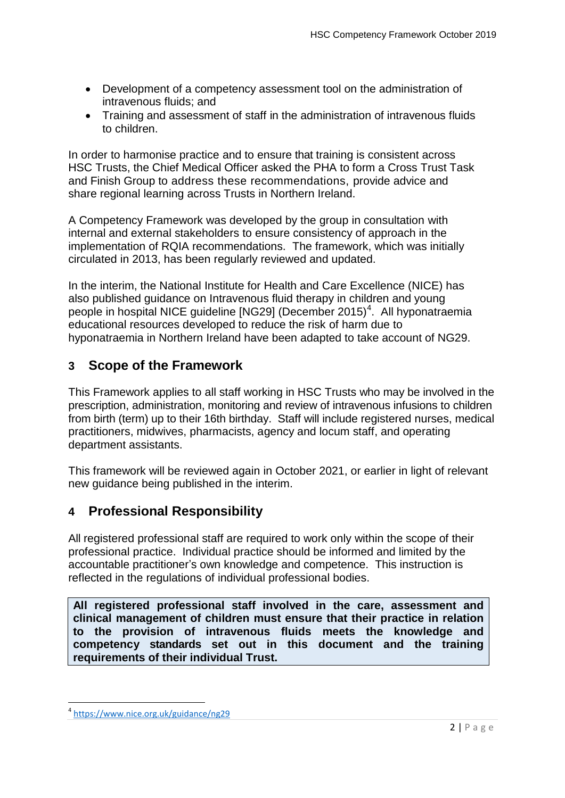- Development of a competency assessment tool on the administration of intravenous fluids; and
- Training and assessment of staff in the administration of intravenous fluids to children.

In order to harmonise practice and to ensure that training is consistent across HSC Trusts, the Chief Medical Officer asked the PHA to form a Cross Trust Task and Finish Group to address these recommendations, provide advice and share regional learning across Trusts in Northern Ireland.

A Competency Framework was developed by the group in consultation with internal and external stakeholders to ensure consistency of approach in the implementation of RQIA recommendations. The framework, which was initially circulated in 2013, has been regularly reviewed and updated.

In the interim, the National Institute for Health and Care Excellence (NICE) has also published guidance on Intravenous fluid therapy in children and young people in hospital NICE guideline [NG29] (December 2015)<sup>4</sup>. All hyponatraemia educational resources developed to reduce the risk of harm due to hyponatraemia in Northern Ireland have been adapted to take account of NG29.

# **3 Scope of the Framework**

This Framework applies to all staff working in HSC Trusts who may be involved in the prescription, administration, monitoring and review of intravenous infusions to children from birth (term) up to their 16th birthday. Staff will include registered nurses, medical practitioners, midwives, pharmacists, agency and locum staff, and operating department assistants.

This framework will be reviewed again in October 2021, or earlier in light of relevant new guidance being published in the interim.

### **4 Professional Responsibility**

All registered professional staff are required to work only within the scope of their professional practice. Individual practice should be informed and limited by the accountable practitioner's own knowledge and competence. This instruction is reflected in the regulations of individual professional bodies.

**All registered professional staff involved in the care, assessment and clinical management of children must ensure that their practice in relation to the provision of intravenous fluids meets the knowledge and competency standards set out in this document and the training requirements of their individual Trust.**

-

<sup>4</sup> <https://www.nice.org.uk/guidance/ng29>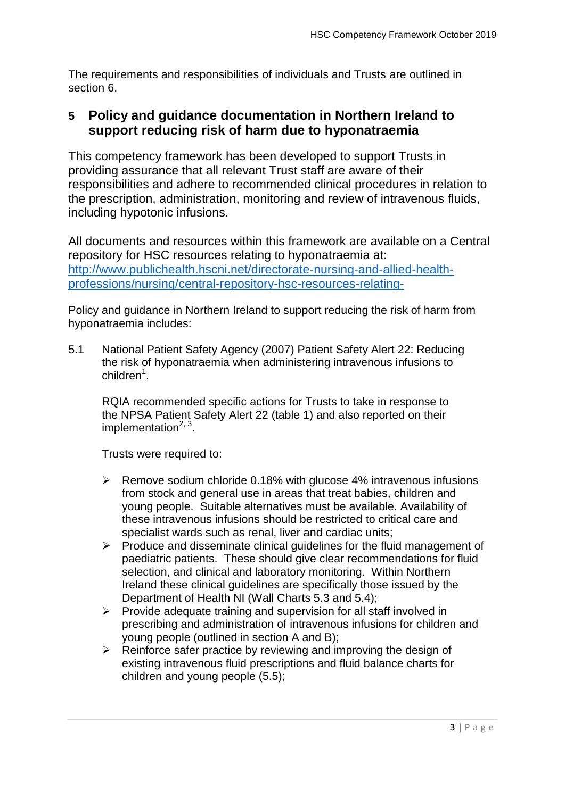The requirements and responsibilities of individuals and Trusts are outlined in section 6.

#### **5 Policy and guidance documentation in Northern Ireland to support reducing risk of harm due to hyponatraemia**

This competency framework has been developed to support Trusts in providing assurance that all relevant Trust staff are aware of their responsibilities and adhere to recommended clinical procedures in relation to the prescription, administration, monitoring and review of intravenous fluids, including hypotonic infusions.

All documents and resources within this framework are available on a Central repository for HSC resources relating to hyponatraemia at: [http://www.publichealth.hscni.net/directorate-nursing-and-allied-health](http://www.publichealth.hscni.net/directorate-nursing-and-allied-health-professions/nursing/central-repository-hsc-resources-relating-)[professions/nursing/central-repository-hsc-resources-relating-](http://www.publichealth.hscni.net/directorate-nursing-and-allied-health-professions/nursing/central-repository-hsc-resources-relating-)

Policy and guidance in Northern Ireland to support reducing the risk of harm from hyponatraemia includes:

5.1 National Patient Safety Agency (2007) Patient Safety Alert 22: Reducing the risk of hyponatraemia when administering intravenous infusions to children<sup>[1](#page-0-0)</sup>.

RQIA recommended specific actions for Trusts to take in response to the NPSA Patient Safety Alert 22 (table 1) and also reported on their implementation<sup>[2,](#page-0-1) [3](#page-0-2)</sup>.

Trusts were required to:

- $\triangleright$  Remove sodium chloride 0.18% with glucose 4% intravenous infusions from stock and general use in areas that treat babies, children and young people. Suitable alternatives must be available. Availability of these intravenous infusions should be restricted to critical care and specialist wards such as renal, liver and cardiac units;
- $\triangleright$  Produce and disseminate clinical guidelines for the fluid management of paediatric patients. These should give clear recommendations for fluid selection, and clinical and laboratory monitoring. Within Northern Ireland these clinical guidelines are specifically those issued by the Department of Health NI (Wall Charts 5.3 and 5.4);
- $\triangleright$  Provide adequate training and supervision for all staff involved in prescribing and administration of intravenous infusions for children and young people (outlined in section A and B);
- $\triangleright$  Reinforce safer practice by reviewing and improving the design of existing intravenous fluid prescriptions and fluid balance charts for children and young people (5.5);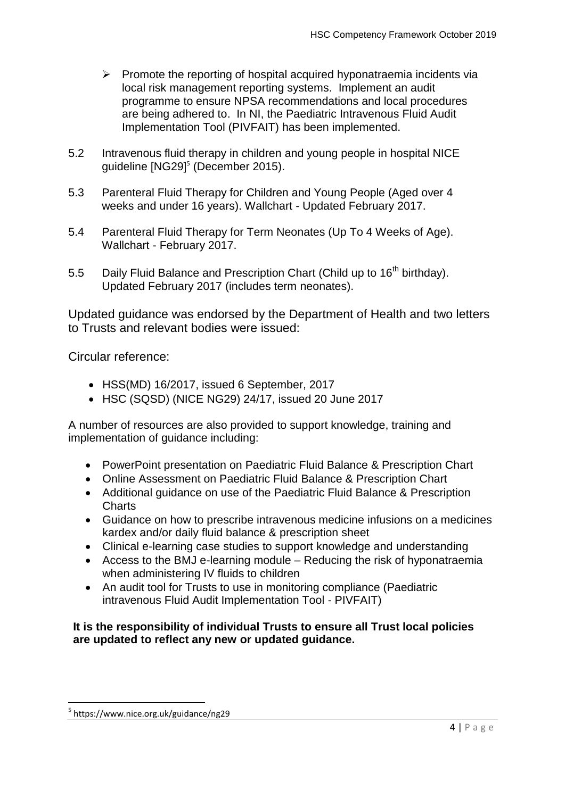- $\triangleright$  Promote the reporting of hospital acquired hyponatraemia incidents via local risk management reporting systems. Implement an audit programme to ensure NPSA recommendations and local procedures are being adhered to. In NI, the Paediatric Intravenous Fluid Audit Implementation Tool (PIVFAIT) has been implemented.
- 5.2 Intravenous fluid therapy in children and young people in hospital NICE guideline [NG29]<sup>5</sup> (December 2015).
- 5.3 Parenteral Fluid Therapy for Children and Young People (Aged over 4 weeks and under 16 years). Wallchart - Updated February 2017.
- 5.4 Parenteral Fluid Therapy for Term Neonates (Up To 4 Weeks of Age). Wallchart - February 2017.
- 5.5 Daily Fluid Balance and Prescription Chart (Child up to 16<sup>th</sup> birthday). Updated February 2017 (includes term neonates).

Updated guidance was endorsed by the Department of Health and two letters to Trusts and relevant bodies were issued:

Circular reference:

- HSS(MD) 16/2017, issued 6 September, 2017
- HSC (SQSD) (NICE NG29) 24/17, issued 20 June 2017

A number of resources are also provided to support knowledge, training and implementation of guidance including:

- PowerPoint presentation on Paediatric Fluid Balance & Prescription Chart
- Online Assessment on Paediatric Fluid Balance & Prescription Chart
- Additional guidance on use of the Paediatric Fluid Balance & Prescription Charts
- Guidance on how to prescribe intravenous medicine infusions on a medicines kardex and/or daily fluid balance & prescription sheet
- Clinical e-learning case studies to support knowledge and understanding
- Access to the BMJ e-learning module Reducing the risk of hyponatraemia when administering IV fluids to children
- An audit tool for Trusts to use in monitoring compliance (Paediatric intravenous Fluid Audit Implementation Tool - PIVFAIT)

**It is the responsibility of individual Trusts to ensure all Trust local policies are updated to reflect any new or updated guidance.**

-

<sup>5</sup> https://www.nice.org.uk/guidance/ng29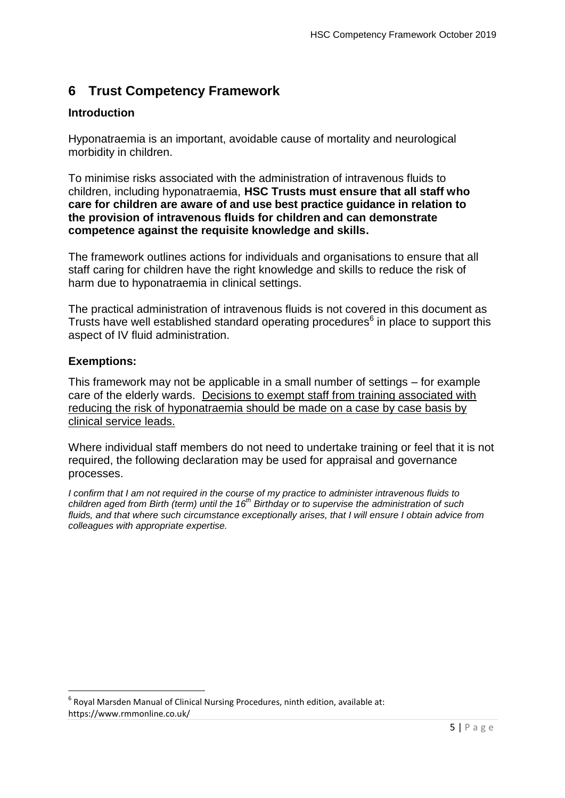## **6 Trust Competency Framework**

#### **Introduction**

Hyponatraemia is an important, avoidable cause of mortality and neurological morbidity in children.

To minimise risks associated with the administration of intravenous fluids to children, including hyponatraemia, **HSC Trusts must ensure that all staff who care for children are aware of and use best practice guidance in relation to the provision of intravenous fluids for children and can demonstrate competence against the requisite knowledge and skills.**

The framework outlines actions for individuals and organisations to ensure that all staff caring for children have the right knowledge and skills to reduce the risk of harm due to hyponatraemia in clinical settings.

The practical administration of intravenous fluids is not covered in this document as Trusts have well established standard operating procedures $^6$  in place to support this aspect of IV fluid administration.

#### **Exemptions:**

This framework may not be applicable in a small number of settings – for example care of the elderly wards. Decisions to exempt staff from training associated with reducing the risk of hyponatraemia should be made on a case by case basis by clinical service leads.

Where individual staff members do not need to undertake training or feel that it is not required, the following declaration may be used for appraisal and governance processes.

*I confirm that I am not required in the course of my practice to administer intravenous fluids to children aged from Birth (term) until the 16th Birthday or to supervise the administration of such fluids, and that where such circumstance exceptionally arises, that I will ensure I obtain advice from colleagues with appropriate expertise.* 

**<sup>.</sup>**  $<sup>6</sup>$  Royal Marsden Manual of Clinical Nursing Procedures, ninth edition, available at:</sup> https://www.rmmonline.co.uk/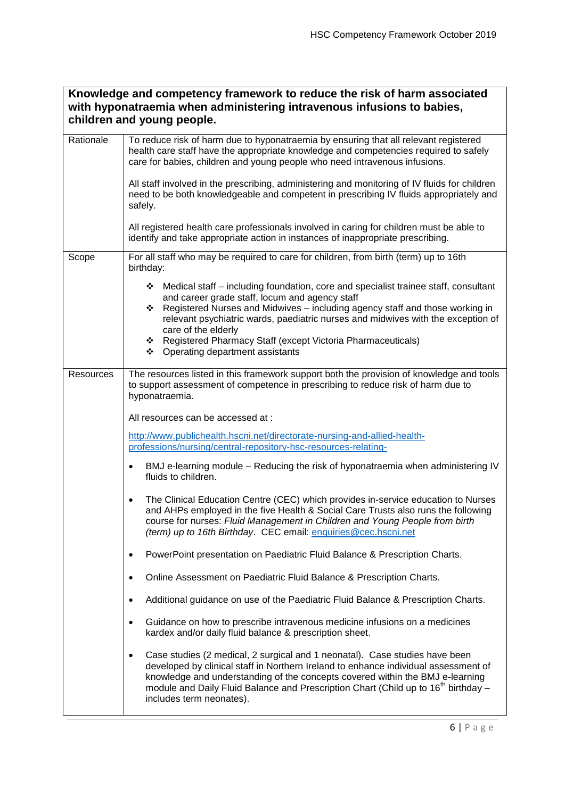| Knowledge and competency framework to reduce the risk of harm associated |
|--------------------------------------------------------------------------|
| with hyponatraemia when administering intravenous infusions to babies,   |
| children and young people.                                               |

| Rationale          | To reduce risk of harm due to hyponatraemia by ensuring that all relevant registered<br>health care staff have the appropriate knowledge and competencies required to safely<br>care for babies, children and young people who need intravenous infusions.<br>All staff involved in the prescribing, administering and monitoring of IV fluids for children<br>need to be both knowledgeable and competent in prescribing IV fluids appropriately and<br>safely.<br>All registered health care professionals involved in caring for children must be able to<br>identify and take appropriate action in instances of inappropriate prescribing.                                                                                                                                                                                                                                                                                                                                                                                                                                                                                                                                                                                                                                                                                                                                                                                                                                                                                                                                     |
|--------------------|-------------------------------------------------------------------------------------------------------------------------------------------------------------------------------------------------------------------------------------------------------------------------------------------------------------------------------------------------------------------------------------------------------------------------------------------------------------------------------------------------------------------------------------------------------------------------------------------------------------------------------------------------------------------------------------------------------------------------------------------------------------------------------------------------------------------------------------------------------------------------------------------------------------------------------------------------------------------------------------------------------------------------------------------------------------------------------------------------------------------------------------------------------------------------------------------------------------------------------------------------------------------------------------------------------------------------------------------------------------------------------------------------------------------------------------------------------------------------------------------------------------------------------------------------------------------------------------|
| Scope<br>Resources | For all staff who may be required to care for children, from birth (term) up to 16th<br>birthday:<br>Medical staff – including foundation, core and specialist trainee staff, consultant<br>❖<br>and career grade staff, locum and agency staff<br>Registered Nurses and Midwives - including agency staff and those working in<br>❖<br>relevant psychiatric wards, paediatric nurses and midwives with the exception of<br>care of the elderly<br>* Registered Pharmacy Staff (except Victoria Pharmaceuticals)<br>❖ Operating department assistants<br>The resources listed in this framework support both the provision of knowledge and tools                                                                                                                                                                                                                                                                                                                                                                                                                                                                                                                                                                                                                                                                                                                                                                                                                                                                                                                                   |
|                    | to support assessment of competence in prescribing to reduce risk of harm due to<br>hyponatraemia.<br>All resources can be accessed at :<br>http://www.publichealth.hscni.net/directorate-nursing-and-allied-health-<br>professions/nursing/central-repository-hsc-resources-relating-<br>BMJ e-learning module – Reducing the risk of hyponatraemia when administering IV<br>$\bullet$<br>fluids to children.<br>The Clinical Education Centre (CEC) which provides in-service education to Nurses<br>$\bullet$<br>and AHPs employed in the five Health & Social Care Trusts also runs the following<br>course for nurses: Fluid Management in Children and Young People from birth<br>(term) up to 16th Birthday. CEC email: enquiries@cec.hscni.net<br>PowerPoint presentation on Paediatric Fluid Balance & Prescription Charts.<br>Online Assessment on Paediatric Fluid Balance & Prescription Charts.<br>$\bullet$<br>Additional guidance on use of the Paediatric Fluid Balance & Prescription Charts.<br>$\bullet$<br>Guidance on how to prescribe intravenous medicine infusions on a medicines<br>$\bullet$<br>kardex and/or daily fluid balance & prescription sheet.<br>Case studies (2 medical, 2 surgical and 1 neonatal). Case studies have been<br>$\bullet$<br>developed by clinical staff in Northern Ireland to enhance individual assessment of<br>knowledge and understanding of the concepts covered within the BMJ e-learning<br>module and Daily Fluid Balance and Prescription Chart (Child up to 16 <sup>th</sup> birthday -<br>includes term neonates). |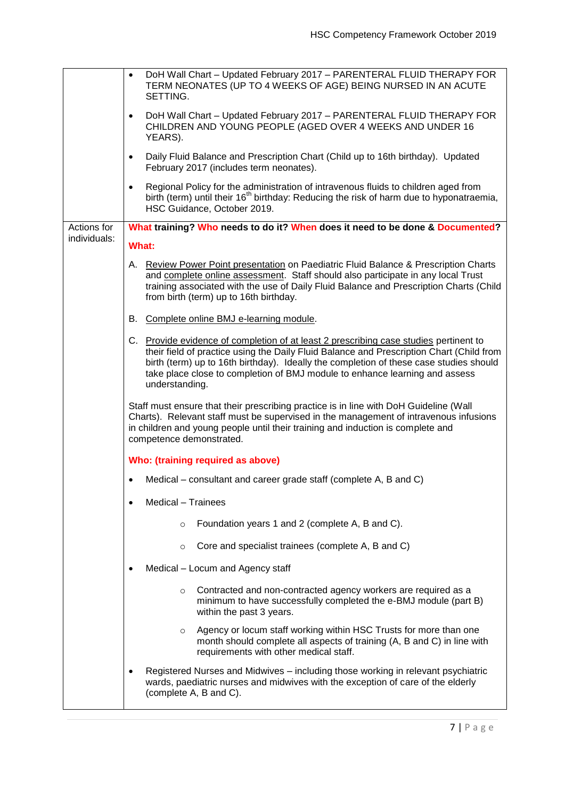|              | DoH Wall Chart - Updated February 2017 - PARENTERAL FLUID THERAPY FOR<br>$\bullet$<br>TERM NEONATES (UP TO 4 WEEKS OF AGE) BEING NURSED IN AN ACUTE<br>SETTING.                                                                                                                                                                                                              |
|--------------|------------------------------------------------------------------------------------------------------------------------------------------------------------------------------------------------------------------------------------------------------------------------------------------------------------------------------------------------------------------------------|
|              | DoH Wall Chart - Updated February 2017 - PARENTERAL FLUID THERAPY FOR<br>$\bullet$<br>CHILDREN AND YOUNG PEOPLE (AGED OVER 4 WEEKS AND UNDER 16<br>YEARS).                                                                                                                                                                                                                   |
|              | Daily Fluid Balance and Prescription Chart (Child up to 16th birthday). Updated<br>$\bullet$<br>February 2017 (includes term neonates).                                                                                                                                                                                                                                      |
|              | Regional Policy for the administration of intravenous fluids to children aged from<br>$\bullet$<br>birth (term) until their 16 <sup>th</sup> birthday: Reducing the risk of harm due to hyponatraemia,<br>HSC Guidance, October 2019.                                                                                                                                        |
| Actions for  | What training? Who needs to do it? When does it need to be done & Documented?                                                                                                                                                                                                                                                                                                |
| individuals: | <b>What:</b>                                                                                                                                                                                                                                                                                                                                                                 |
|              | A. Review Power Point presentation on Paediatric Fluid Balance & Prescription Charts<br>and complete online assessment. Staff should also participate in any local Trust<br>training associated with the use of Daily Fluid Balance and Prescription Charts (Child<br>from birth (term) up to 16th birthday.                                                                 |
|              | B. Complete online BMJ e-learning module.                                                                                                                                                                                                                                                                                                                                    |
|              | C. Provide evidence of completion of at least 2 prescribing case studies pertinent to<br>their field of practice using the Daily Fluid Balance and Prescription Chart (Child from<br>birth (term) up to 16th birthday). Ideally the completion of these case studies should<br>take place close to completion of BMJ module to enhance learning and assess<br>understanding. |
|              | Staff must ensure that their prescribing practice is in line with DoH Guideline (Wall<br>Charts). Relevant staff must be supervised in the management of intravenous infusions<br>in children and young people until their training and induction is complete and<br>competence demonstrated.                                                                                |
|              | Who: (training required as above)                                                                                                                                                                                                                                                                                                                                            |
|              | Medical – consultant and career grade staff (complete A, B and C)                                                                                                                                                                                                                                                                                                            |
|              | <b>Medical - Trainees</b><br>٠                                                                                                                                                                                                                                                                                                                                               |
|              | Foundation years 1 and 2 (complete A, B and C).<br>$\circ$                                                                                                                                                                                                                                                                                                                   |
|              | Core and specialist trainees (complete A, B and C)<br>$\circ$                                                                                                                                                                                                                                                                                                                |
|              | Medical - Locum and Agency staff<br>$\bullet$                                                                                                                                                                                                                                                                                                                                |
|              | Contracted and non-contracted agency workers are required as a<br>$\circ$<br>minimum to have successfully completed the e-BMJ module (part B)<br>within the past 3 years.                                                                                                                                                                                                    |
|              | Agency or locum staff working within HSC Trusts for more than one<br>$\circ$<br>month should complete all aspects of training (A, B and C) in line with<br>requirements with other medical staff.                                                                                                                                                                            |
|              | Registered Nurses and Midwives - including those working in relevant psychiatric<br>$\bullet$<br>wards, paediatric nurses and midwives with the exception of care of the elderly<br>(complete A, B and C).                                                                                                                                                                   |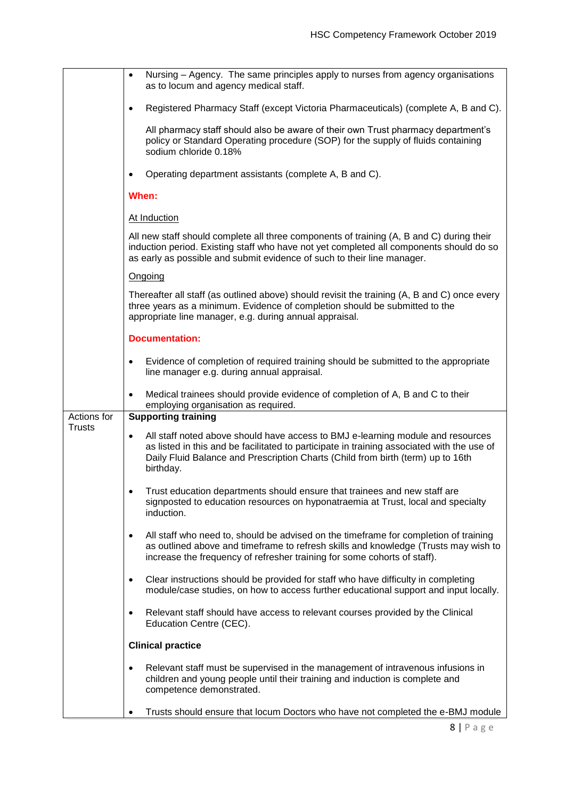|                              | Nursing – Agency. The same principles apply to nurses from agency organisations<br>$\bullet$<br>as to locum and agency medical staff.                                                                                                                                                      |
|------------------------------|--------------------------------------------------------------------------------------------------------------------------------------------------------------------------------------------------------------------------------------------------------------------------------------------|
|                              | Registered Pharmacy Staff (except Victoria Pharmaceuticals) (complete A, B and C).<br>$\bullet$                                                                                                                                                                                            |
|                              | All pharmacy staff should also be aware of their own Trust pharmacy department's<br>policy or Standard Operating procedure (SOP) for the supply of fluids containing<br>sodium chloride 0.18%                                                                                              |
|                              | Operating department assistants (complete A, B and C).<br>$\bullet$                                                                                                                                                                                                                        |
|                              | When:                                                                                                                                                                                                                                                                                      |
|                              | At Induction                                                                                                                                                                                                                                                                               |
|                              | All new staff should complete all three components of training (A, B and C) during their<br>induction period. Existing staff who have not yet completed all components should do so<br>as early as possible and submit evidence of such to their line manager.                             |
|                              | Ongoing                                                                                                                                                                                                                                                                                    |
|                              | Thereafter all staff (as outlined above) should revisit the training (A, B and C) once every<br>three years as a minimum. Evidence of completion should be submitted to the<br>appropriate line manager, e.g. during annual appraisal.                                                     |
|                              | <b>Documentation:</b>                                                                                                                                                                                                                                                                      |
|                              | Evidence of completion of required training should be submitted to the appropriate<br>$\bullet$<br>line manager e.g. during annual appraisal.                                                                                                                                              |
|                              | Medical trainees should provide evidence of completion of A, B and C to their<br>$\bullet$<br>employing organisation as required.                                                                                                                                                          |
| Actions for<br><b>Trusts</b> | <b>Supporting training</b>                                                                                                                                                                                                                                                                 |
|                              | All staff noted above should have access to BMJ e-learning module and resources<br>$\bullet$<br>as listed in this and be facilitated to participate in training associated with the use of<br>Daily Fluid Balance and Prescription Charts (Child from birth (term) up to 16th<br>birthday. |
|                              | Trust education departments should ensure that trainees and new staff are<br>signposted to education resources on hyponatraemia at Trust, local and specialty<br>induction.                                                                                                                |
|                              | All staff who need to, should be advised on the timeframe for completion of training<br>$\bullet$<br>as outlined above and timeframe to refresh skills and knowledge (Trusts may wish to<br>increase the frequency of refresher training for some cohorts of staff).                       |
|                              | Clear instructions should be provided for staff who have difficulty in completing<br>$\bullet$<br>module/case studies, on how to access further educational support and input locally.                                                                                                     |
|                              | Relevant staff should have access to relevant courses provided by the Clinical<br>$\bullet$<br>Education Centre (CEC).                                                                                                                                                                     |
|                              | <b>Clinical practice</b>                                                                                                                                                                                                                                                                   |
|                              | Relevant staff must be supervised in the management of intravenous infusions in<br>$\bullet$<br>children and young people until their training and induction is complete and<br>competence demonstrated.                                                                                   |
|                              | Trusts should ensure that locum Doctors who have not completed the e-BMJ module                                                                                                                                                                                                            |